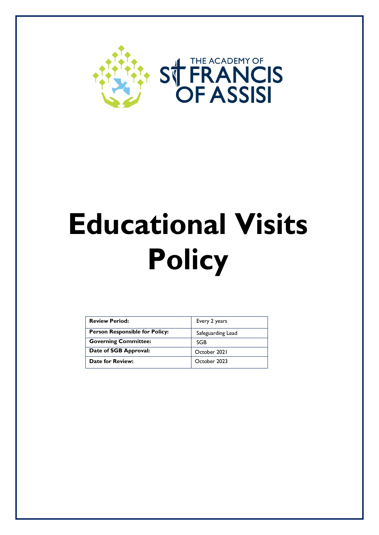

# **Educational Visits Policy**

| <b>Review Period:</b>                 | Every 2 years     |
|---------------------------------------|-------------------|
| <b>Person Responsible for Policy:</b> | Safeguarding Lead |
| <b>Governing Committee:</b>           | <b>SGB</b>        |
| Date of SGB Approval:                 | October 2021      |
| <b>Date for Review:</b>               | October 2023      |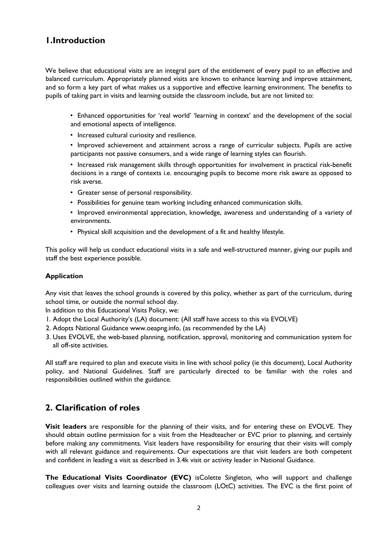# **1.Introduction**

We believe that educational visits are an integral part of the entitlement of every pupil to an effective and balanced curriculum. Appropriately planned visits are known to enhance learning and improve attainment, and so form a key part of what makes us a supportive and effective learning environment. The benefits to pupils of taking part in visits and learning outside the classroom include, but are not limited to:

- Enhanced opportunities for 'real world' 'learning in context' and the development of the social and emotional aspects of intelligence.
- Increased cultural curiosity and resilience.
- Improved achievement and attainment across a range of curricular subjects. Pupils are active participants not passive consumers, and a wide range of learning styles can flourish.
- Increased risk management skills through opportunities for involvement in practical risk-benefit decisions in a range of contexts i.e. encouraging pupils to become more risk aware as opposed to risk averse.
- Greater sense of personal responsibility.
- Possibilities for genuine team working including enhanced communication skills.
- Improved environmental appreciation, knowledge, awareness and understanding of a variety of environments.
- Physical skill acquisition and the development of a fit and healthy lifestyle.

This policy will help us conduct educational visits in a safe and well-structured manner, giving our pupils and staff the best experience possible.

#### **Application**

Any visit that leaves the school grounds is covered by this policy, whether as part of the curriculum, during school time, or outside the normal school day.

In addition to this Educational Visits Policy, we:

- 1. Adopt the Local Authority's (LA) document: (All staff have access to this via EVOLVE)
- 2. Adopts National Guidance www.oeapng.info, (as recommended by the LA)
- 3. Uses EVOLVE, the web-based planning, notification, approval, monitoring and communication system for all off-site activities.

All staff are required to plan and execute visits in line with school policy (ie this document), Local Authority policy, and National Guidelines. Staff are particularly directed to be familiar with the roles and responsibilities outlined within the guidance.

# **2. Clarification of roles**

**Visit leaders** are responsible for the planning of their visits, and for entering these on EVOLVE. They should obtain outline permission for a visit from the Headteacher or EVC prior to planning, and certainly before making any commitments. Visit leaders have responsibility for ensuring that their visits will comply with all relevant guidance and requirements. Our expectations are that visit leaders are both competent and confident in leading a visit as described in 3.4k visit or activity leader in National Guidance.

**The Educational Visits Coordinator (EVC)** isColette Singleton*,* who will support and challenge colleagues over visits and learning outside the classroom (LOtC) activities. The EVC is the first point of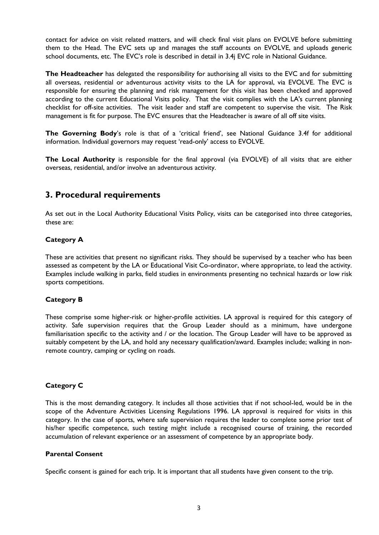contact for advice on visit related matters, and will check final visit plans on EVOLVE before submitting them to the Head. The EVC sets up and manages the staff accounts on EVOLVE, and uploads generic school documents, etc. The EVC's role is described in detail in 3.4j EVC role in National Guidance.

**The Headteacher** has delegated the responsibility for authorising all visits to the EVC and for submitting all overseas, residential or adventurous activity visits to the LA for approval, via EVOLVE. The EVC is responsible for ensuring the planning and risk management for this visit has been checked and approved according to the current Educational Visits policy. That the visit complies with the LA's current planning checklist for off-site activities. The visit leader and staff are competent to supervise the visit. The Risk management is fit for purpose. The EVC ensures that the Headteacher is aware of all off site visits.

**The Governing Body**'s role is that of a 'critical friend', see National Guidance 3.4f for additional information. Individual governors may request 'read-only' access to EVOLVE.

**The Local Authority** is responsible for the final approval (via EVOLVE) of all visits that are either overseas, residential, and/or involve an adventurous activity.

## **3. Procedural requirements**

As set out in the Local Authority Educational Visits Policy, visits can be categorised into three categories, these are:

### **Category A**

These are activities that present no significant risks. They should be supervised by a teacher who has been assessed as competent by the LA or Educational Visit Co-ordinator, where appropriate, to lead the activity. Examples include walking in parks, field studies in environments presenting no technical hazards or low risk sports competitions.

#### **Category B**

These comprise some higher-risk or higher-profile activities. LA approval is required for this category of activity. Safe supervision requires that the Group Leader should as a minimum, have undergone familiarisation specific to the activity and / or the location. The Group Leader will have to be approved as suitably competent by the LA, and hold any necessary qualification/award. Examples include; walking in nonremote country, camping or cycling on roads.

#### **Category C**

This is the most demanding category. It includes all those activities that if not school-led, would be in the scope of the Adventure Activities Licensing Regulations 1996. LA approval is required for visits in this category. In the case of sports, where safe supervision requires the leader to complete some prior test of his/her specific competence, such testing might include a recognised course of training, the recorded accumulation of relevant experience or an assessment of competence by an appropriate body.

#### **Parental Consent**

Specific consent is gained for each trip. It is important that all students have given consent to the trip.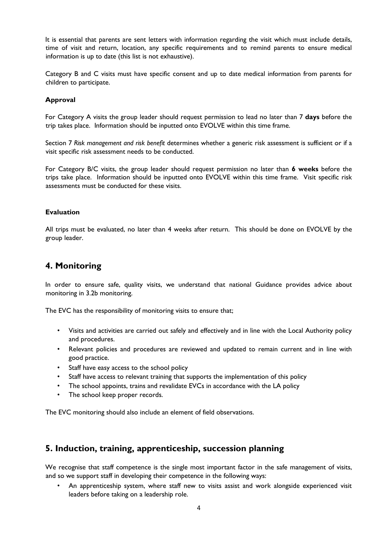It is essential that parents are sent letters with information regarding the visit which must include details, time of visit and return, location, any specific requirements and to remind parents to ensure medical information is up to date (this list is not exhaustive).

Category B and C visits must have specific consent and up to date medical information from parents for children to participate.

#### **Approval**

For Category A visits the group leader should request permission to lead no later than 7 **days** before the trip takes place. Information should be inputted onto EVOLVE within this time frame.

Section 7 *Risk management and risk benefit* determines whether a generic risk assessment is sufficient or if a visit specific risk assessment needs to be conducted.

For Category B/C visits, the group leader should request permission no later than **6 weeks** before the trips take place. Information should be inputted onto EVOLVE within this time frame. Visit specific risk assessments must be conducted for these visits.

#### **Evaluation**

All trips must be evaluated, no later than 4 weeks after return. This should be done on EVOLVE by the group leader.

## **4. Monitoring**

In order to ensure safe, quality visits, we understand that national Guidance provides advice about monitoring in 3.2b monitoring.

The EVC has the responsibility of monitoring visits to ensure that;

- Visits and activities are carried out safely and effectively and in line with the Local Authority policy and procedures.
- Relevant policies and procedures are reviewed and updated to remain current and in line with good practice.
- Staff have easy access to the school policy
- Staff have access to relevant training that supports the implementation of this policy
- The school appoints, trains and revalidate EVCs in accordance with the LA policy
- The school keep proper records.

The EVC monitoring should also include an element of field observations.

# **5. Induction, training, apprenticeship, succession planning**

We recognise that staff competence is the single most important factor in the safe management of visits, and so we support staff in developing their competence in the following ways:

• An apprenticeship system, where staff new to visits assist and work alongside experienced visit leaders before taking on a leadership role.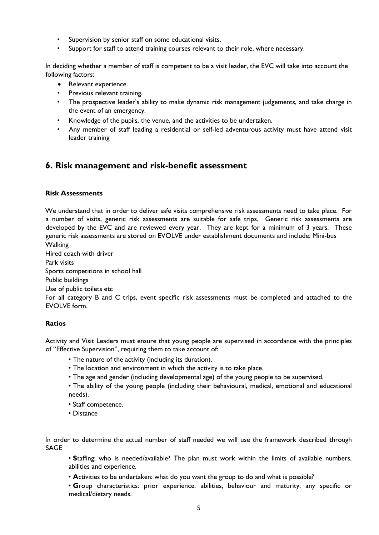- Supervision by senior staff on some educational visits.
- Support for staff to attend training courses relevant to their role, where necessary.

In deciding whether a member of staff is competent to be a visit leader, the EVC will take into account the following factors:

- Relevant experience.
- Previous relevant training.
- The prospective leader's ability to make dynamic risk management judgements, and take charge in the event of an emergency.
- Knowledge of the pupils, the venue, and the activities to be undertaken.
- Any member of staff leading a residential or self-led adventurous activity must have attend visit leader training

## **6. Risk management and risk-benefit assessment**

#### **Risk Assessments**

We understand that in order to deliver safe visits comprehensive risk assessments need to take place. For a number of visits, generic risk assessments are suitable for safe trips. Generic risk assessments are developed by the EVC and are reviewed every year. They are kept for a minimum of 3 years. These generic risk assessments are stored on EVOLVE under establishment documents and include: Mini-bus Walking

Hired coach with driver Park visits Sports competitions in school hall Public buildings Use of public toilets etc For all category B and C trips, event specific risk assessments must be completed and attached to the EVOLVE form.

#### **Ratios**

Activity and Visit Leaders must ensure that young people are supervised in accordance with the principles of "Effective Supervision", requiring them to take account of:

- The nature of the activity (including its duration).
- The location and environment in which the activity is to take place.
- The age and gender (including developmental age) of the young people to be supervised.
- The ability of the young people (including their behavioural, medical, emotional and educational needs).
- Staff competence.
- Distance

In order to determine the actual number of staff needed we will use the framework described through SAGE

• **S**taffing: who is needed/available? The plan must work within the limits of available numbers, abilities and experience.

• **A**ctivities to be undertaken: what do you want the group to do and what is possible?

• **G**roup characteristics: prior experience, abilities, behaviour and maturity, any specific or medical/dietary needs.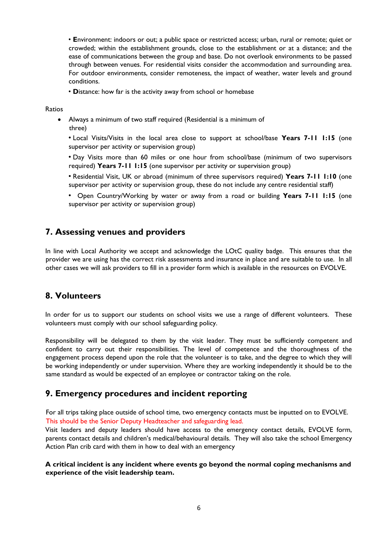• **E**nvironment: indoors or out; a public space or restricted access; urban, rural or remote; quiet or crowded; within the establishment grounds, close to the establishment or at a distance; and the ease of communications between the group and base. Do not overlook environments to be passed through between venues. For residential visits consider the accommodation and surrounding area. For outdoor environments, consider remoteness, the impact of weather, water levels and ground conditions.

• **D**istance: how far is the activity away from school or homebase

Ratios

• Always a minimum of two staff required (Residential is a minimum of three)

• Local Visits/Visits in the local area close to support at school/base **Years 7-11 1:15** (one supervisor per activity or supervision group)

• Day Visits more than 60 miles or one hour from school/base (minimum of two supervisors required) **Years 7-11 1:15** (one supervisor per activity or supervision group)

• Residential Visit, UK or abroad (minimum of three supervisors required) **Years 7-11 1:10** (one supervisor per activity or supervision group, these do not include any centre residential staff)

• Open Country/Working by water or away from a road or building **Years 7-11 1:15** (one supervisor per activity or supervision group)

## **7. Assessing venues and providers**

In line with Local Authority we accept and acknowledge the LOtC quality badge. This ensures that the provider we are using has the correct risk assessments and insurance in place and are suitable to use. In all other cases we will ask providers to fill in a provider form which is available in the resources on EVOLVE.

## **8. Volunteers**

In order for us to support our students on school visits we use a range of different volunteers. These volunteers must comply with our school safeguarding policy.

Responsibility will be delegated to them by the visit leader. They must be sufficiently competent and confident to carry out their responsibilities. The level of competence and the thoroughness of the engagement process depend upon the role that the volunteer is to take, and the degree to which they will be working independently or under supervision. Where they are working independently it should be to the same standard as would be expected of an employee or contractor taking on the role.

## **9. Emergency procedures and incident reporting**

For all trips taking place outside of school time, two emergency contacts must be inputted on to EVOLVE. This should be the Senior Deputy Headteacher and safeguarding lead.

Visit leaders and deputy leaders should have access to the emergency contact details, EVOLVE form, parents contact details and children's medical/behavioural details. They will also take the school Emergency Action Plan crib card with them in how to deal with an emergency

**A critical incident is any incident where events go beyond the normal coping mechanisms and experience of the visit leadership team.**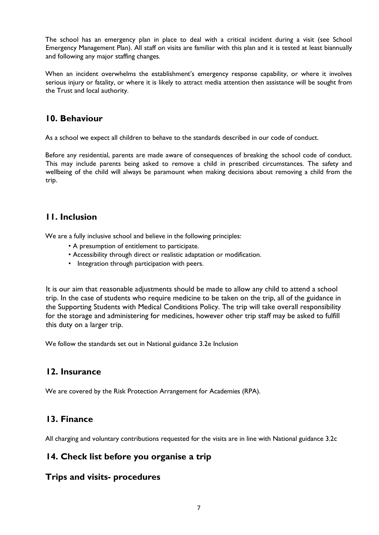The school has an emergency plan in place to deal with a critical incident during a visit (see School Emergency Management Plan). All staff on visits are familiar with this plan and it is tested at least biannually and following any major staffing changes.

When an incident overwhelms the establishment's emergency response capability, or where it involves serious injury or fatality, or where it is likely to attract media attention then assistance will be sought from the Trust and local authority.

# **10. Behaviour**

As a school we expect all children to behave to the standards described in our code of conduct.

Before any residential, parents are made aware of consequences of breaking the school code of conduct. This may include parents being asked to remove a child in prescribed circumstances. The safety and wellbeing of the child will always be paramount when making decisions about removing a child from the trip.

# **11. Inclusion**

We are a fully inclusive school and believe in the following principles:

- A presumption of entitlement to participate.
- Accessibility through direct or realistic adaptation or modification.
- Integration through participation with peers.

It is our aim that reasonable adjustments should be made to allow any child to attend a school trip. In the case of students who require medicine to be taken on the trip, all of the guidance in the Supporting Students with Medical Conditions Policy. The trip will take overall responsibility for the storage and administering for medicines, however other trip staff may be asked to fulfill this duty on a larger trip.

We follow the standards set out in National guidance 3.2e Inclusion

## **12. Insurance**

We are covered by the Risk Protection Arrangement for Academies (RPA).

# **13. Finance**

All charging and voluntary contributions requested for the visits are in line with National guidance 3.2c

## **14. Check list before you organise a trip**

## **Trips and visits- procedures**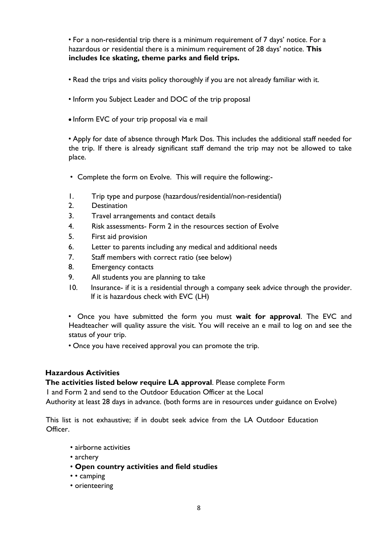• For a non-residential trip there is a minimum requirement of 7 days' notice. For a hazardous or residential there is a minimum requirement of 28 days' notice. **This includes Ice skating, theme parks and field trips.**

- Read the trips and visits policy thoroughly if you are not already familiar with it.
- Inform you Subject Leader and DOC of the trip proposal
- Inform EVC of your trip proposal via e mail

• Apply for date of absence through Mark Dos. This includes the additional staff needed for the trip. If there is already significant staff demand the trip may not be allowed to take place.

- Complete the form on Evolve. This will require the following:-
- 1. Trip type and purpose (hazardous/residential/non-residential)
- 2. Destination
- 3. Travel arrangements and contact details
- 4. Risk assessments- Form 2 in the resources section of Evolve
- 5. First aid provision
- 6. Letter to parents including any medical and additional needs
- 7. Staff members with correct ratio (see below)
- 8. Emergency contacts
- 9. All students you are planning to take
- 10. Insurance- if it is a residential through a company seek advice through the provider. If it is hazardous check with EVC (LH)

• Once you have submitted the form you must **wait for approval**. The EVC and Headteacher will quality assure the visit. You will receive an e mail to log on and see the status of your trip.

• Once you have received approval you can promote the trip.

## **Hazardous Activities**

**The activities listed below require LA approval**. Please complete Form

1 and Form 2 and send to the Outdoor Education Officer at the Local

Authority at least 28 days in advance. (both forms are in resources under guidance on Evolve)

This list is not exhaustive; if in doubt seek advice from the LA Outdoor Education Officer.

- airborne activities
- archery
- **Open country activities and field studies**
- • camping
- orienteering